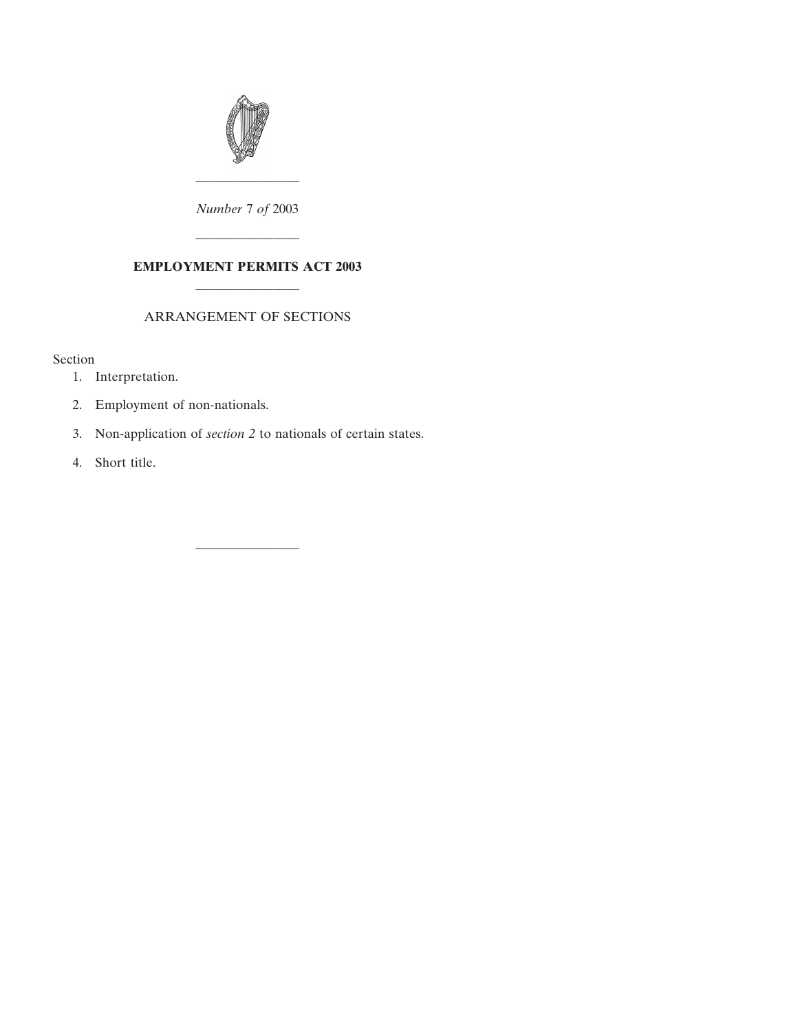

———————— *Number* 7 *of* 2003

## **EMPLOYMENT PERMITS ACT 2003** ————————

————————

## ARRANGEMENT OF SECTIONS

Section

- [1. Interpretation.](#page-2-0)
- [2. Employment of non-nationals.](#page-3-0)
- 3. Non-application of *section 2* [to nationals of certain states.](#page-5-0)

————————

[4. Short title.](#page-6-0)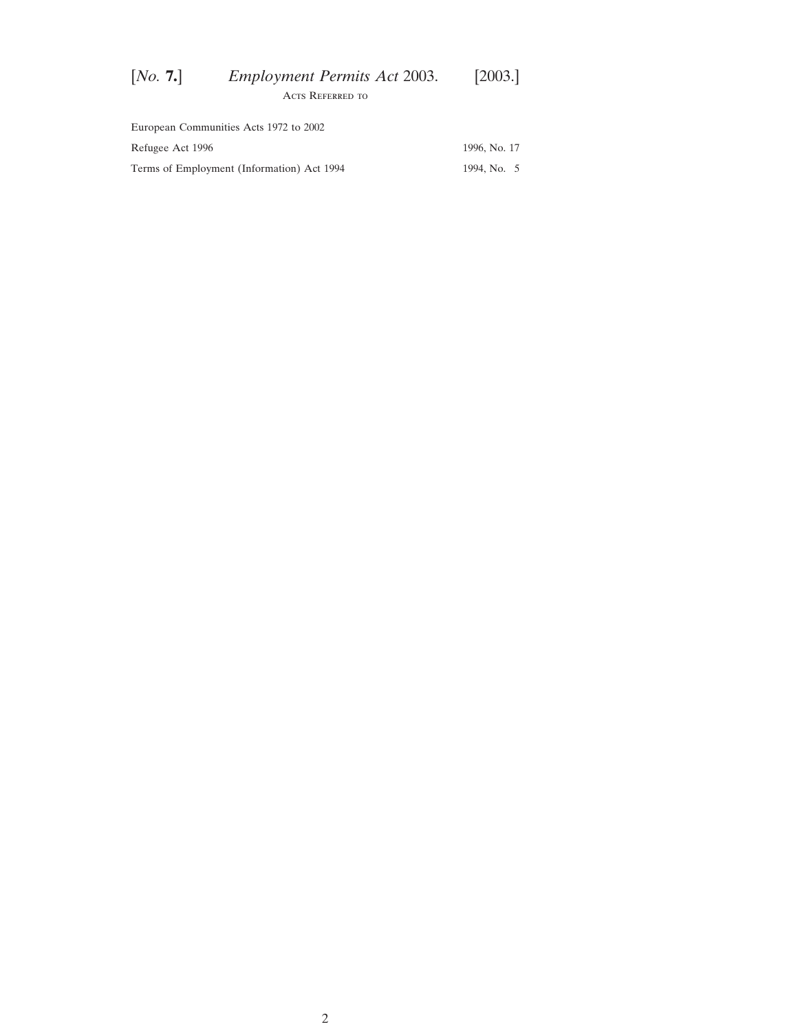| [No. 7.] | <b>Employment Permits Act 2003.</b> | [2003.] |
|----------|-------------------------------------|---------|
|          | ACTS REFERRED TO                    |         |

| European Communities Acts 1972 to 2002     |              |
|--------------------------------------------|--------------|
| Refugee Act 1996                           | 1996, No. 17 |
| Terms of Employment (Information) Act 1994 | 1994, No. 5  |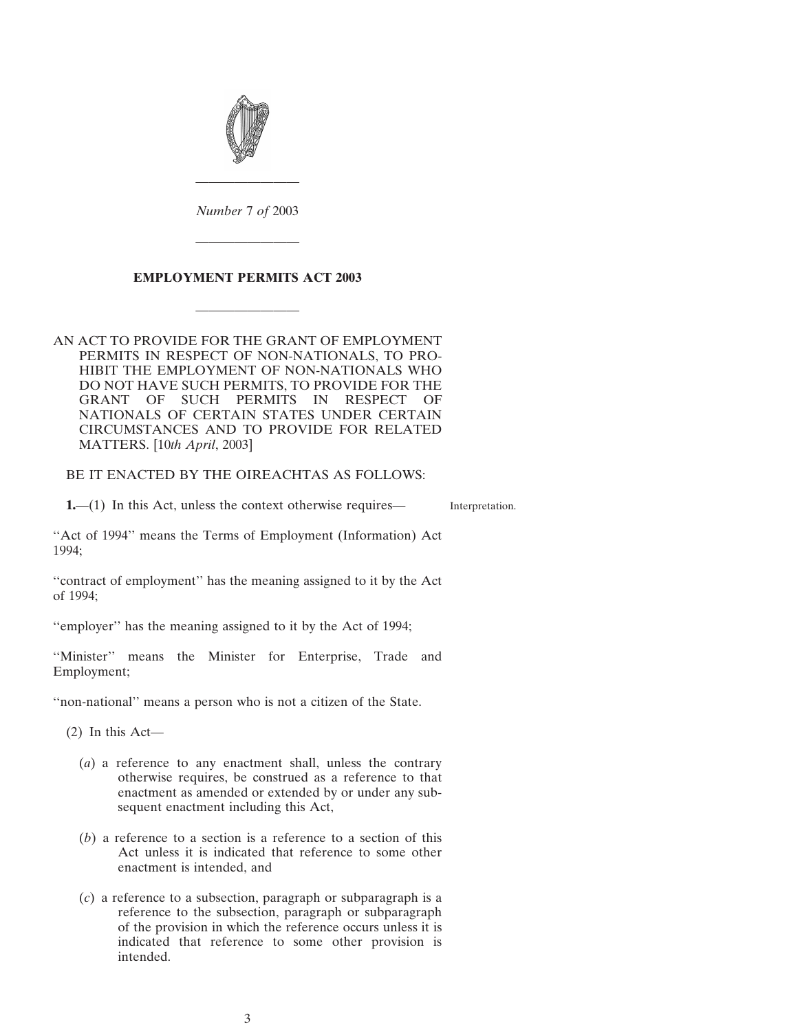<span id="page-2-0"></span>

*Number* 7 *of* 2003

————————

————————

## **EMPLOYMENT PERMITS ACT 2003**

————————

AN ACT TO PROVIDE FOR THE GRANT OF EMPLOYMENT PERMITS IN RESPECT OF NON-NATIONALS, TO PRO-HIBIT THE EMPLOYMENT OF NON-NATIONALS WHO DO NOT HAVE SUCH PERMITS, TO PROVIDE FOR THE GRANT OF SUCH PERMITS IN RESPECT OF NATIONALS OF CERTAIN STATES UNDER CERTAIN CIRCUMSTANCES AND TO PROVIDE FOR RELATED MATTERS. [10*th April*, 2003]

BE IT ENACTED BY THE OIREACHTAS AS FOLLOWS:

**1.**—(1) In this Act, unless the context otherwise requires—

Interpretation.

"Act of 1994" means the Terms of Employment (Information) Act 1994;

''contract of employment'' has the meaning assigned to it by the Act of 1994;

"employer" has the meaning assigned to it by the Act of 1994;

''Minister'' means the Minister for Enterprise, Trade and Employment;

''non-national'' means a person who is not a citizen of the State.

(2) In this Act—

- (*a*) a reference to any enactment shall, unless the contrary otherwise requires, be construed as a reference to that enactment as amended or extended by or under any subsequent enactment including this Act,
- (*b*) a reference to a section is a reference to a section of this Act unless it is indicated that reference to some other enactment is intended, and
- (*c*) a reference to a subsection, paragraph or subparagraph is a reference to the subsection, paragraph or subparagraph of the provision in which the reference occurs unless it is indicated that reference to some other provision is intended.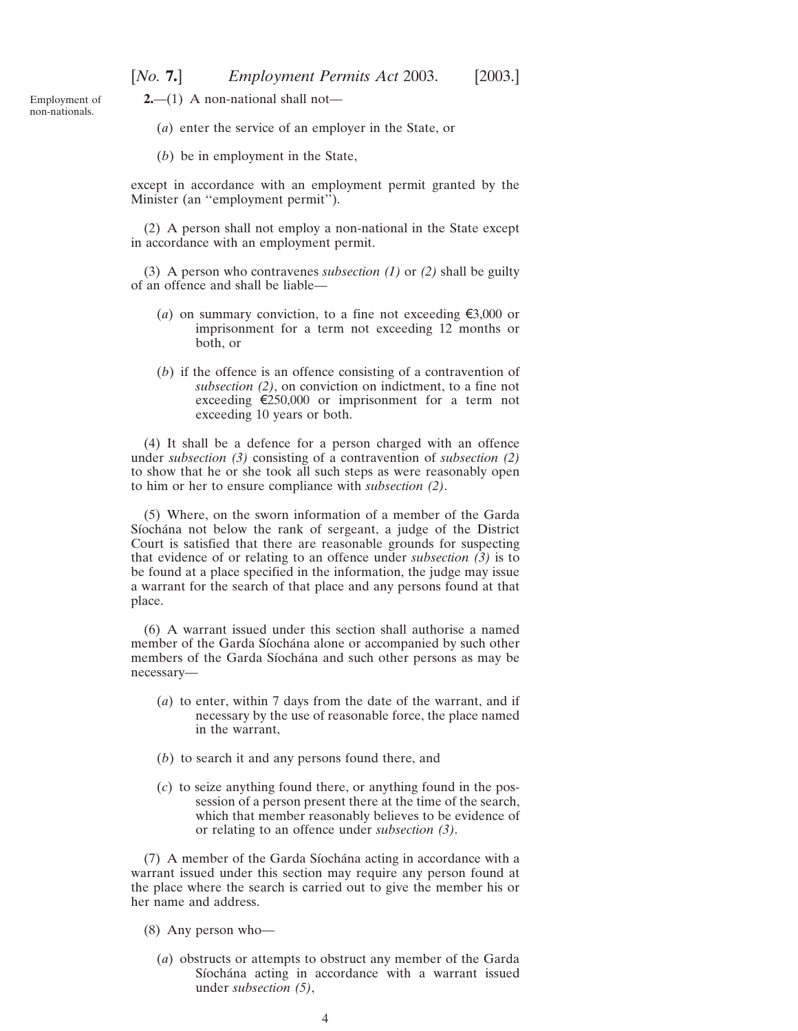<span id="page-3-0"></span>Employment of non-nationals.

**2.**—(1) A non-national shall not—

(*a*) enter the service of an employer in the State, or

(*b*) be in employment in the State,

except in accordance with an employment permit granted by the Minister (an "employment permit").

(2) A person shall not employ a non-national in the State except in accordance with an employment permit.

(3) A person who contravenes *subsection (1)* or *(2)* shall be guilty of an offence and shall be liable—

- (*a*) on summary conviction, to a fine not exceeding  $\epsilon$ 3,000 or imprisonment for a term not exceeding 12 months or both, or
- (*b*) if the offence is an offence consisting of a contravention of *subsection (2)*, on conviction on indictment, to a fine not exceeding  $\epsilon$ 250,000 or imprisonment for a term not exceeding 10 years or both.

(4) It shall be a defence for a person charged with an offence under *subsection (3)* consisting of a contravention of *subsection (2)* to show that he or she took all such steps as were reasonably open to him or her to ensure compliance with *subsection (2)*.

(5) Where, on the sworn information of a member of the Garda Síochána not below the rank of sergeant, a judge of the District Court is satisfied that there are reasonable grounds for suspecting that evidence of or relating to an offence under *subsection (3)* is to be found at a place specified in the information, the judge may issue a warrant for the search of that place and any persons found at that place.

(6) A warrant issued under this section shall authorise a named member of the Garda Síochána alone or accompanied by such other members of the Garda Síochána and such other persons as may be necessary—

- (*a*) to enter, within 7 days from the date of the warrant, and if necessary by the use of reasonable force, the place named in the warrant,
- (*b*) to search it and any persons found there, and
- (*c*) to seize anything found there, or anything found in the possession of a person present there at the time of the search, which that member reasonably believes to be evidence of or relating to an offence under *subsection (3)*.

(7) A member of the Garda Síochána acting in accordance with a warrant issued under this section may require any person found at the place where the search is carried out to give the member his or her name and address.

(8) Any person who—

(*a*) obstructs or attempts to obstruct any member of the Garda Síochána acting in accordance with a warrant issued under *subsection (5)*,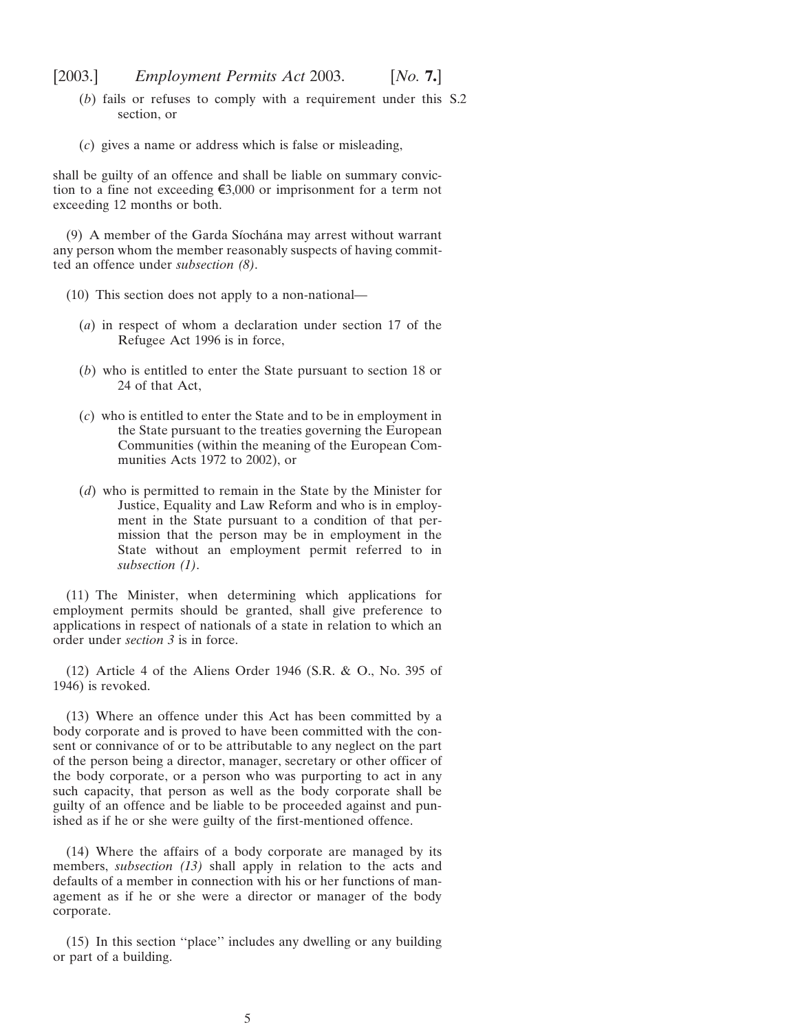- (*b*) fails or refuses to comply with a requirement under this S.2 section, or
- (*c*) gives a name or address which is false or misleading,

shall be guilty of an offence and shall be liable on summary conviction to a fine not exceeding  $\xi$ 3,000 or imprisonment for a term not exceeding 12 months or both.

(9) A member of the Garda Síochána may arrest without warrant any person whom the member reasonably suspects of having committed an offence under *subsection (8)*.

- (10) This section does not apply to a non-national—
	- (*a*) in respect of whom a declaration under section 17 of the Refugee Act 1996 is in force,
	- (*b*) who is entitled to enter the State pursuant to section 18 or 24 of that Act,
	- (*c*) who is entitled to enter the State and to be in employment in the State pursuant to the treaties governing the European Communities (within the meaning of the European Communities Acts 1972 to 2002), or
	- (*d*) who is permitted to remain in the State by the Minister for Justice, Equality and Law Reform and who is in employment in the State pursuant to a condition of that permission that the person may be in employment in the State without an employment permit referred to in *subsection (1)*.

(11) The Minister, when determining which applications for employment permits should be granted, shall give preference to applications in respect of nationals of a state in relation to which an order under *section 3* is in force.

(12) Article 4 of the Aliens Order 1946 (S.R. & O., No. 395 of 1946) is revoked.

(13) Where an offence under this Act has been committed by a body corporate and is proved to have been committed with the consent or connivance of or to be attributable to any neglect on the part of the person being a director, manager, secretary or other officer of the body corporate, or a person who was purporting to act in any such capacity, that person as well as the body corporate shall be guilty of an offence and be liable to be proceeded against and punished as if he or she were guilty of the first-mentioned offence.

(14) Where the affairs of a body corporate are managed by its members, *subsection (13)* shall apply in relation to the acts and defaults of a member in connection with his or her functions of management as if he or she were a director or manager of the body corporate.

(15) In this section ''place'' includes any dwelling or any building or part of a building.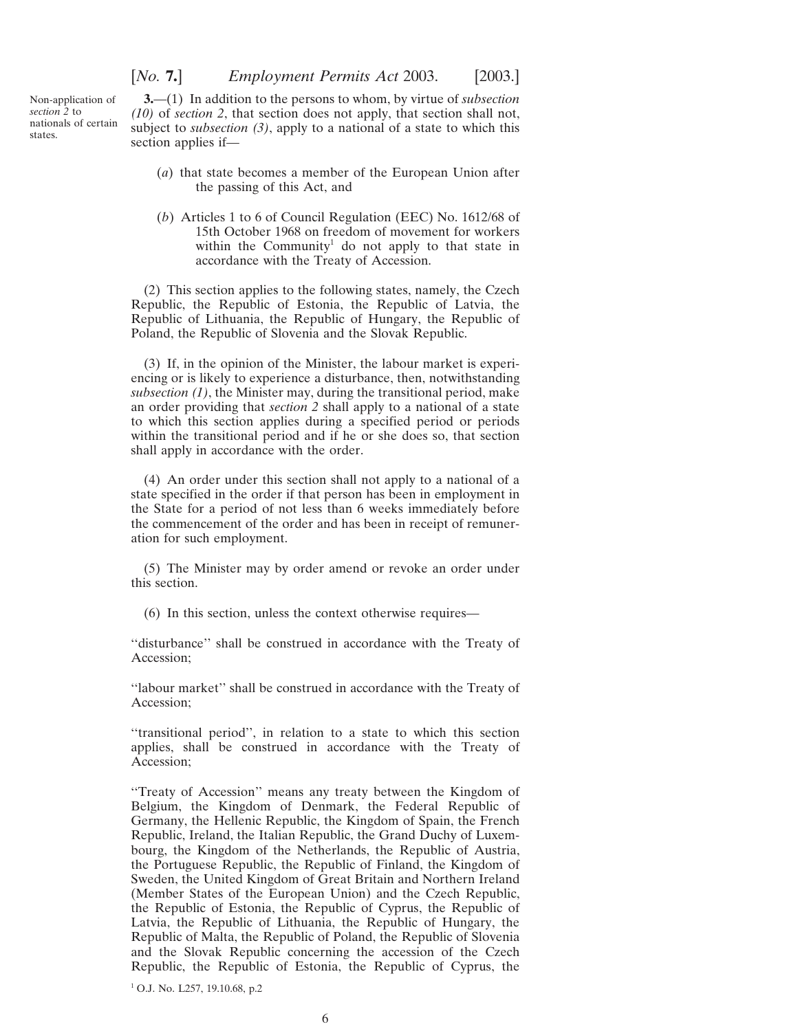[*No.* **7.**] *Employment Permits Act* 2003. [2003.]

<span id="page-5-0"></span>Non-application of *section 2* to nationals of certain states.

**3.**—(1) In addition to the persons to whom, by virtue of *subsection (10)* of *section 2*, that section does not apply, that section shall not, subject to *subsection (3)*, apply to a national of a state to which this section applies if—

- (*a*) that state becomes a member of the European Union after the passing of this Act, and
- (*b*) Articles 1 to 6 of Council Regulation (EEC) No. 1612/68 of 15th October 1968 on freedom of movement for workers within the Community<sup>1</sup> do not apply to that state in accordance with the Treaty of Accession.

(2) This section applies to the following states, namely, the Czech Republic, the Republic of Estonia, the Republic of Latvia, the Republic of Lithuania, the Republic of Hungary, the Republic of Poland, the Republic of Slovenia and the Slovak Republic.

(3) If, in the opinion of the Minister, the labour market is experiencing or is likely to experience a disturbance, then, notwithstanding *subsection (1)*, the Minister may, during the transitional period, make an order providing that *section 2* shall apply to a national of a state to which this section applies during a specified period or periods within the transitional period and if he or she does so, that section shall apply in accordance with the order.

(4) An order under this section shall not apply to a national of a state specified in the order if that person has been in employment in the State for a period of not less than 6 weeks immediately before the commencement of the order and has been in receipt of remuneration for such employment.

(5) The Minister may by order amend or revoke an order under this section.

(6) In this section, unless the context otherwise requires—

''disturbance'' shall be construed in accordance with the Treaty of Accession;

''labour market'' shall be construed in accordance with the Treaty of Accession;

''transitional period'', in relation to a state to which this section applies, shall be construed in accordance with the Treaty of Accession;

''Treaty of Accession'' means any treaty between the Kingdom of Belgium, the Kingdom of Denmark, the Federal Republic of Germany, the Hellenic Republic, the Kingdom of Spain, the French Republic, Ireland, the Italian Republic, the Grand Duchy of Luxembourg, the Kingdom of the Netherlands, the Republic of Austria, the Portuguese Republic, the Republic of Finland, the Kingdom of Sweden, the United Kingdom of Great Britain and Northern Ireland (Member States of the European Union) and the Czech Republic, the Republic of Estonia, the Republic of Cyprus, the Republic of Latvia, the Republic of Lithuania, the Republic of Hungary, the Republic of Malta, the Republic of Poland, the Republic of Slovenia and the Slovak Republic concerning the accession of the Czech Republic, the Republic of Estonia, the Republic of Cyprus, the

<sup>1</sup> O.J. No. L257, 19.10.68, p.2